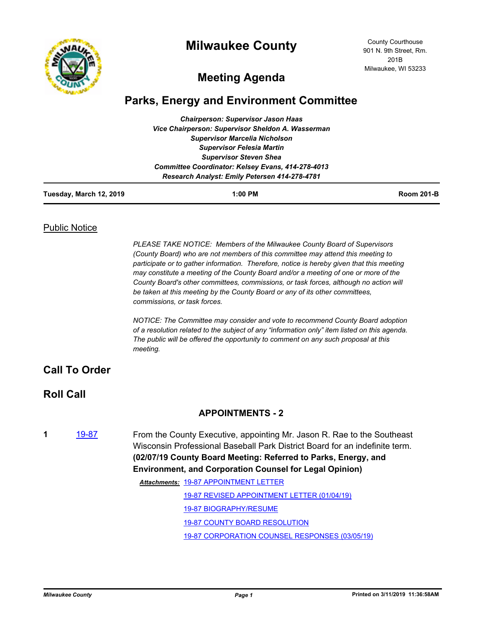

## **Milwaukee County**

County Courthouse 901 N. 9th Street, Rm. 201B Milwaukee, WI 53233

# **Meeting Agenda**

## **Parks, Energy and Environment Committee**

| <b>Chairperson: Supervisor Jason Haas</b>         |  |  |
|---------------------------------------------------|--|--|
| Vice Chairperson: Supervisor Sheldon A. Wasserman |  |  |
| <b>Supervisor Marcelia Nicholson</b>              |  |  |
| <b>Supervisor Felesia Martin</b>                  |  |  |
| <b>Supervisor Steven Shea</b>                     |  |  |
| Committee Coordinator: Kelsey Evans, 414-278-4013 |  |  |
| Research Analyst: Emily Petersen 414-278-4781     |  |  |

| Tuesday, March 12, 2019 | $1:00$ PM | <b>Room 201-B</b> |
|-------------------------|-----------|-------------------|
|                         |           |                   |

#### Public Notice

*PLEASE TAKE NOTICE: Members of the Milwaukee County Board of Supervisors (County Board) who are not members of this committee may attend this meeting to participate or to gather information. Therefore, notice is hereby given that this meeting may constitute a meeting of the County Board and/or a meeting of one or more of the County Board's other committees, commissions, or task forces, although no action will be taken at this meeting by the County Board or any of its other committees, commissions, or task forces.*

*NOTICE: The Committee may consider and vote to recommend County Board adoption of a resolution related to the subject of any "information only" item listed on this agenda. The public will be offered the opportunity to comment on any such proposal at this meeting.*

### **Call To Order**

### **Roll Call**

#### **APPOINTMENTS - 2**

**1** [19-87](http://milwaukeecounty.legistar.com/gateway.aspx?m=l&id=/matter.aspx?key=8599) From the County Executive, appointing Mr. Jason R. Rae to the Southeast Wisconsin Professional Baseball Park District Board for an indefinite term. **(02/07/19 County Board Meeting: Referred to Parks, Energy, and Environment, and Corporation Counsel for Legal Opinion)** [19-87 APPOINTMENT LETTER](http://MilwaukeeCounty.legistar.com/gateway.aspx?M=F&ID=164843e4-7c1f-4980-b635-c22fae718edf.pdf) *Attachments:* [19-87 REVISED APPOINTMENT LETTER \(01/04/19\)](http://MilwaukeeCounty.legistar.com/gateway.aspx?M=F&ID=9924e904-900a-479b-b5b5-1132d6e80168.pdf) [19-87 BIOGRAPHY/RESUME](http://MilwaukeeCounty.legistar.com/gateway.aspx?M=F&ID=6e6f78d0-69e0-43df-aef1-a2ab3fb6adee.pdf) [19-87 COUNTY BOARD RESOLUTION](http://MilwaukeeCounty.legistar.com/gateway.aspx?M=F&ID=c231b5a4-bf3f-4e27-b56a-613d4df5a1a1.pdf) [19-87 CORPORATION COUNSEL RESPONSES \(03/05/19\)](http://MilwaukeeCounty.legistar.com/gateway.aspx?M=F&ID=9bfe2dde-a55b-45cb-ab9e-4f242c912d86.pdf)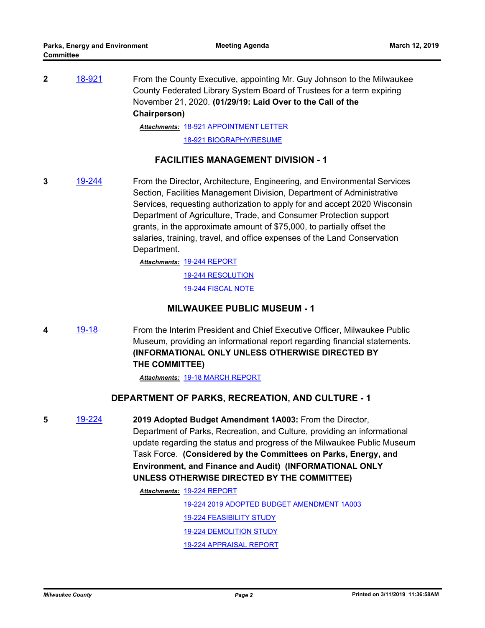**2** [18-921](http://milwaukeecounty.legistar.com/gateway.aspx?m=l&id=/matter.aspx?key=8540) From the County Executive, appointing Mr. Guy Johnson to the Milwaukee County Federated Library System Board of Trustees for a term expiring November 21, 2020. **(01/29/19: Laid Over to the Call of the Chairperson)**

[18-921 APPOINTMENT LETTER](http://MilwaukeeCounty.legistar.com/gateway.aspx?M=F&ID=c3e05911-e0b8-4d4c-a212-df5b62c29ef1.pdf) *Attachments:*

[18-921 BIOGRAPHY/RESUME](http://MilwaukeeCounty.legistar.com/gateway.aspx?M=F&ID=54a65193-544f-49d8-ae6a-cdd572d2d401.pdf)

#### **FACILITIES MANAGEMENT DIVISION - 1**

**3** [19-244](http://milwaukeecounty.legistar.com/gateway.aspx?m=l&id=/matter.aspx?key=8754) From the Director, Architecture, Engineering, and Environmental Services Section, Facilities Management Division, Department of Administrative Services, requesting authorization to apply for and accept 2020 Wisconsin Department of Agriculture, Trade, and Consumer Protection support grants, in the approximate amount of \$75,000, to partially offset the salaries, training, travel, and office expenses of the Land Conservation Department.

> [19-244 REPORT](http://MilwaukeeCounty.legistar.com/gateway.aspx?M=F&ID=45d6431a-be93-486d-9b4a-8d9d190c05f1.pdf) *Attachments:* [19-244 RESOLUTION](http://MilwaukeeCounty.legistar.com/gateway.aspx?M=F&ID=9007d546-b6fc-4f44-9e9c-df7eb5a3505f.docx) [19-244 FISCAL NOTE](http://MilwaukeeCounty.legistar.com/gateway.aspx?M=F&ID=2ce7f258-0b84-4ff8-b4a5-c8fc80b01c1d.pdf)

#### **MILWAUKEE PUBLIC MUSEUM - 1**

**4** [19-18](http://milwaukeecounty.legistar.com/gateway.aspx?m=l&id=/matter.aspx?key=8632) From the Interim President and Chief Executive Officer, Milwaukee Public Museum, providing an informational report regarding financial statements. **(INFORMATIONAL ONLY UNLESS OTHERWISE DIRECTED BY THE COMMITTEE)**

*Attachments:* [19-18 MARCH REPORT](http://MilwaukeeCounty.legistar.com/gateway.aspx?M=F&ID=0c198cc0-c488-4ea5-ab15-811ff2383948.pdf)

#### **DEPARTMENT OF PARKS, RECREATION, AND CULTURE - 1**

**5** [19-224](http://milwaukeecounty.legistar.com/gateway.aspx?m=l&id=/matter.aspx?key=8734) **2019 Adopted Budget Amendment 1A003:** From the Director, Department of Parks, Recreation, and Culture, providing an informational update regarding the status and progress of the Milwaukee Public Museum Task Force. **(Considered by the Committees on Parks, Energy, and Environment, and Finance and Audit) (INFORMATIONAL ONLY UNLESS OTHERWISE DIRECTED BY THE COMMITTEE)**

[19-224 REPORT](http://MilwaukeeCounty.legistar.com/gateway.aspx?M=F&ID=f2f3326d-af35-4324-97bf-256f52fc108f.pdf) *Attachments:*

[19-224 2019 ADOPTED BUDGET AMENDMENT 1A003](http://MilwaukeeCounty.legistar.com/gateway.aspx?M=F&ID=8c74d0b6-e6c6-452c-83b8-c2a8f8dae06e.pdf) [19-224 FEASIBILITY STUDY](http://MilwaukeeCounty.legistar.com/gateway.aspx?M=F&ID=3a7add00-a346-4877-904c-faad74cfcda1.pdf) [19-224 DEMOLITION STUDY](http://MilwaukeeCounty.legistar.com/gateway.aspx?M=F&ID=358d84c6-b661-4801-815e-2782e1a588ed.pdf) [19-224 APPRAISAL REPORT](http://MilwaukeeCounty.legistar.com/gateway.aspx?M=F&ID=e261b307-d7e1-4758-8393-8bec1e7f77ee.pdf)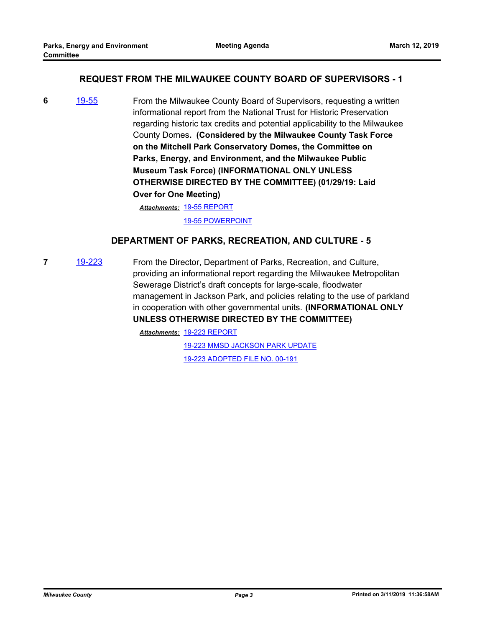#### **REQUEST FROM THE MILWAUKEE COUNTY BOARD OF SUPERVISORS - 1**

**6** [19-55](http://milwaukeecounty.legistar.com/gateway.aspx?m=l&id=/matter.aspx?key=8567) From the Milwaukee County Board of Supervisors, requesting a written informational report from the National Trust for Historic Preservation regarding historic tax credits and potential applicability to the Milwaukee County Domes**. (Considered by the Milwaukee County Task Force on the Mitchell Park Conservatory Domes, the Committee on Parks, Energy, and Environment, and the Milwaukee Public Museum Task Force) (INFORMATIONAL ONLY UNLESS OTHERWISE DIRECTED BY THE COMMITTEE) (01/29/19: Laid Over for One Meeting)**

[19-55 REPORT](http://MilwaukeeCounty.legistar.com/gateway.aspx?M=F&ID=8118b00c-82d0-4acb-a4bd-a3a0a5d93f0b.pdf) *Attachments:*

[19-55 POWERPOINT](http://MilwaukeeCounty.legistar.com/gateway.aspx?M=F&ID=bc861f3b-fd7f-4e49-bfd7-526c437a4241.pdf)

#### **DEPARTMENT OF PARKS, RECREATION, AND CULTURE - 5**

**7** [19-223](http://milwaukeecounty.legistar.com/gateway.aspx?m=l&id=/matter.aspx?key=8733) From the Director, Department of Parks, Recreation, and Culture, providing an informational report regarding the Milwaukee Metropolitan Sewerage District's draft concepts for large-scale, floodwater management in Jackson Park, and policies relating to the use of parkland in cooperation with other governmental units. **(INFORMATIONAL ONLY UNLESS OTHERWISE DIRECTED BY THE COMMITTEE)**

[19-223 REPORT](http://MilwaukeeCounty.legistar.com/gateway.aspx?M=F&ID=40e14817-cf71-41a6-a9b5-f49440f08a7d.pdf) *Attachments:*

[19-223 MMSD JACKSON PARK UPDATE](http://MilwaukeeCounty.legistar.com/gateway.aspx?M=F&ID=adce33b2-42ec-4ebe-a152-310346f32f21.pdf)

[19-223 ADOPTED FILE NO. 00-191](http://MilwaukeeCounty.legistar.com/gateway.aspx?M=F&ID=c04da158-8a6b-4bcb-89dc-1d6b63a29636.pdf)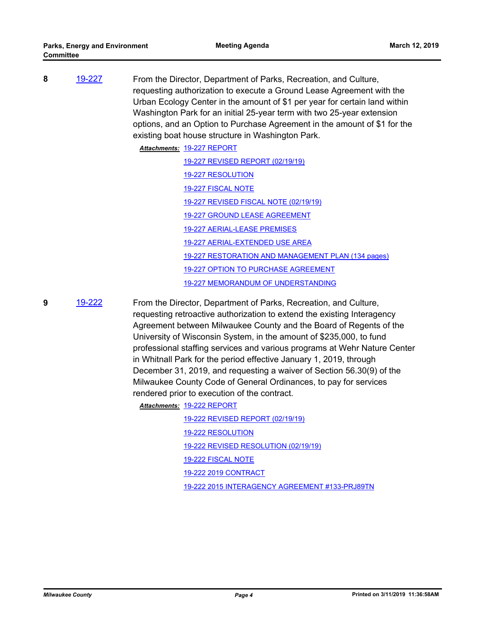**8** [19-227](http://milwaukeecounty.legistar.com/gateway.aspx?m=l&id=/matter.aspx?key=8737) From the Director, Department of Parks, Recreation, and Culture, requesting authorization to execute a Ground Lease Agreement with the Urban Ecology Center in the amount of \$1 per year for certain land within Washington Park for an initial 25-year term with two 25-year extension options, and an Option to Purchase Agreement in the amount of \$1 for the existing boat house structure in Washington Park.

> [19-227 REPORT](http://MilwaukeeCounty.legistar.com/gateway.aspx?M=F&ID=c4edd270-544f-4d75-9bfa-6b2e5b865b05.pdf) *Attachments:* [19-227 REVISED REPORT \(02/19/19\)](http://MilwaukeeCounty.legistar.com/gateway.aspx?M=F&ID=def705b6-2aea-473b-85a5-a39097404f35.pdf) [19-227 RESOLUTION](http://MilwaukeeCounty.legistar.com/gateway.aspx?M=F&ID=448ee577-55f5-4b2e-b6bf-24f8ff94bc2a.docx) [19-227 FISCAL NOTE](http://MilwaukeeCounty.legistar.com/gateway.aspx?M=F&ID=ab5ab6d8-32fa-4678-8890-02ec7382610d.pdf) [19-227 REVISED FISCAL NOTE \(02/19/19\)](http://MilwaukeeCounty.legistar.com/gateway.aspx?M=F&ID=f00e8648-2ff4-40e2-992d-e092b13991e6.pdf) [19-227 GROUND LEASE AGREEMENT](http://MilwaukeeCounty.legistar.com/gateway.aspx?M=F&ID=9afe97c2-4887-4740-a993-42641ccdbcb4.pdf) [19-227 AERIAL-LEASE PREMISES](http://MilwaukeeCounty.legistar.com/gateway.aspx?M=F&ID=d097bfe8-80f8-4671-9937-c36a59ce71a7.pdf) [19-227 AERIAL-EXTENDED USE AREA](http://MilwaukeeCounty.legistar.com/gateway.aspx?M=F&ID=5c0092f0-269b-4695-b01a-3b950db9e60e.pdf) [19-227 RESTORATION AND MANAGEMENT PLAN \(134 pages\)](http://MilwaukeeCounty.legistar.com/gateway.aspx?M=F&ID=97e3aeb4-bd4a-4940-b2ea-af482f009c54.pdf) [19-227 OPTION TO PURCHASE AGREEMENT](http://MilwaukeeCounty.legistar.com/gateway.aspx?M=F&ID=6d9ed08e-1b6e-48ef-a96f-57458e1e3def.pdf) [19-227 MEMORANDUM OF UNDERSTANDING](http://MilwaukeeCounty.legistar.com/gateway.aspx?M=F&ID=c585ec82-e34c-4e0a-956c-d98a55171de4.pdf)

**9** [19-222](http://milwaukeecounty.legistar.com/gateway.aspx?m=l&id=/matter.aspx?key=8732) From the Director, Department of Parks, Recreation, and Culture, requesting retroactive authorization to extend the existing Interagency Agreement between Milwaukee County and the Board of Regents of the University of Wisconsin System, in the amount of \$235,000, to fund professional staffing services and various programs at Wehr Nature Center in Whitnall Park for the period effective January 1, 2019, through December 31, 2019, and requesting a waiver of Section 56.30(9) of the Milwaukee County Code of General Ordinances, to pay for services rendered prior to execution of the contract.

[19-222 REPORT](http://MilwaukeeCounty.legistar.com/gateway.aspx?M=F&ID=a820b4b1-9834-45d2-9c19-3943264ab2d0.pdf) *Attachments:*

[19-222 REVISED REPORT \(02/19/19\)](http://MilwaukeeCounty.legistar.com/gateway.aspx?M=F&ID=37c7f9b9-bf66-4c09-bc7b-0965944fa724.pdf) [19-222 RESOLUTION](http://MilwaukeeCounty.legistar.com/gateway.aspx?M=F&ID=ac1899a9-5c35-41f4-bd35-ee49ed680704.docx) [19-222 REVISED RESOLUTION \(02/19/19\)](http://MilwaukeeCounty.legistar.com/gateway.aspx?M=F&ID=f38b0e29-9a48-4e93-9d29-bb131bf1bff7.docx) [19-222 FISCAL NOTE](http://MilwaukeeCounty.legistar.com/gateway.aspx?M=F&ID=b769f509-0a16-45a3-bcba-e6c128d381d7.pdf) [19-222 2019 CONTRACT](http://MilwaukeeCounty.legistar.com/gateway.aspx?M=F&ID=480786fa-f6ec-40ca-ac8f-d2959fbee776.pdf) [19-222 2015 INTERAGENCY AGREEMENT #133-PRJ89TN](http://MilwaukeeCounty.legistar.com/gateway.aspx?M=F&ID=96cf5b30-4fac-497d-bdf6-cc040960f526.pdf)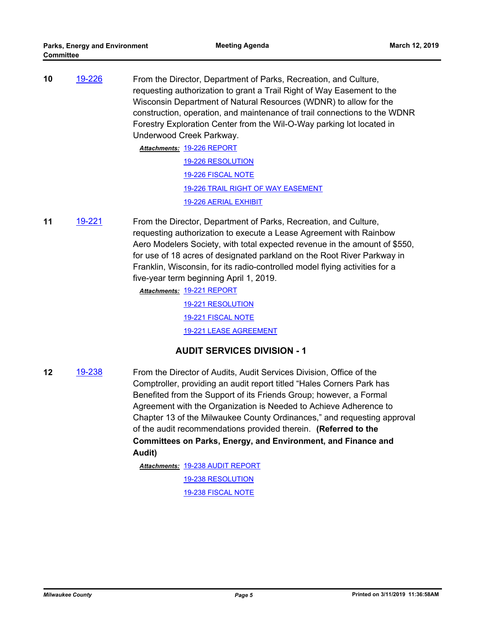**10** [19-226](http://milwaukeecounty.legistar.com/gateway.aspx?m=l&id=/matter.aspx?key=8736) From the Director, Department of Parks, Recreation, and Culture, requesting authorization to grant a Trail Right of Way Easement to the Wisconsin Department of Natural Resources (WDNR) to allow for the construction, operation, and maintenance of trail connections to the WDNR Forestry Exploration Center from the Wil-O-Way parking lot located in Underwood Creek Parkway.

> [19-226 REPORT](http://MilwaukeeCounty.legistar.com/gateway.aspx?M=F&ID=7abeec48-ccde-4741-8006-e7fdb663aa41.pdf) *Attachments:* [19-226 RESOLUTION](http://MilwaukeeCounty.legistar.com/gateway.aspx?M=F&ID=1fee2d6d-12ee-4e13-af69-51798743b580.doc) [19-226 FISCAL NOTE](http://MilwaukeeCounty.legistar.com/gateway.aspx?M=F&ID=d1cefcd0-e95f-45df-96fa-19f5c967c701.pdf) [19-226 TRAIL RIGHT OF WAY EASEMENT](http://MilwaukeeCounty.legistar.com/gateway.aspx?M=F&ID=04bddbd3-dfdf-4718-8f1e-a795489cb0c2.pdf) [19-226 AERIAL EXHIBIT](http://MilwaukeeCounty.legistar.com/gateway.aspx?M=F&ID=86dce122-9e92-4334-a292-adfecfca10fd.pdf)

**11** [19-221](http://milwaukeecounty.legistar.com/gateway.aspx?m=l&id=/matter.aspx?key=8731) From the Director, Department of Parks, Recreation, and Culture, requesting authorization to execute a Lease Agreement with Rainbow Aero Modelers Society, with total expected revenue in the amount of \$550, for use of 18 acres of designated parkland on the Root River Parkway in Franklin, Wisconsin, for its radio-controlled model flying activities for a five-year term beginning April 1, 2019.

[19-221 REPORT](http://MilwaukeeCounty.legistar.com/gateway.aspx?M=F&ID=3d544ee7-f858-4e5e-879c-be48fca43b1e.pdf) *Attachments:*

[19-221 RESOLUTION](http://MilwaukeeCounty.legistar.com/gateway.aspx?M=F&ID=0a7ed0c6-5097-439a-8ce5-3f3cea128caa.doc) [19-221 FISCAL NOTE](http://MilwaukeeCounty.legistar.com/gateway.aspx?M=F&ID=83f6ac58-a177-4418-840b-65259486f22a.pdf) [19-221 LEASE AGREEMENT](http://MilwaukeeCounty.legistar.com/gateway.aspx?M=F&ID=734c18c2-a4c5-4827-bc64-6bc611c690d6.pdf)

#### **AUDIT SERVICES DIVISION - 1**

**12** [19-238](http://milwaukeecounty.legistar.com/gateway.aspx?m=l&id=/matter.aspx?key=8748) From the Director of Audits, Audit Services Division, Office of the Comptroller, providing an audit report titled "Hales Corners Park has Benefited from the Support of its Friends Group; however, a Formal Agreement with the Organization is Needed to Achieve Adherence to Chapter 13 of the Milwaukee County Ordinances," and requesting approval of the audit recommendations provided therein. **(Referred to the Committees on Parks, Energy, and Environment, and Finance and Audit)**

> [19-238 AUDIT REPORT](http://MilwaukeeCounty.legistar.com/gateway.aspx?M=F&ID=c8444cb0-7312-4116-97b4-f2f073c7ca85.pdf) *Attachments:* [19-238 RESOLUTION](http://MilwaukeeCounty.legistar.com/gateway.aspx?M=F&ID=76870206-0896-459b-918d-6fc8b4572a54.docx) [19-238 FISCAL NOTE](http://MilwaukeeCounty.legistar.com/gateway.aspx?M=F&ID=372de700-cb67-458b-8df8-7ff551051b1a.pdf)